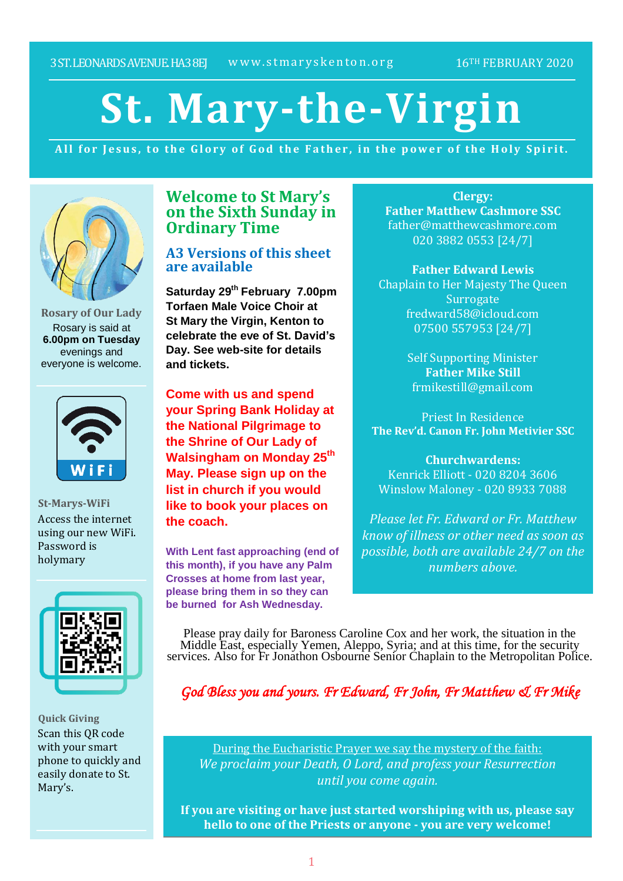# **St. Mary-the-Virgin**

All for Jesus, to the Glory of God the Father, in the power of the Holy Spirit.



**Rosary of Our Lady** Rosary is said at **6.00pm on Tuesday** evenings and everyone is welcome.



**St-Marys-WiFi** Access the internet using our new WiFi. Password is holymary



**Quick Giving** Scan this QR code with your smart phone to quickly and easily donate to St. Mary's.

## **Welcome to St Mary's on the Sixth Sunday in Ordinary Time**

### **A3 Versions of this sheet are available**

**Saturday 29th February 7.00pm Torfaen Male Voice Choir at St Mary the Virgin, Kenton to celebrate the eve of St. David's Day. See web-site for details and tickets.**

**Come with us and spend your Spring Bank Holiday at the National Pilgrimage to the Shrine of Our Lady of Walsingham on Monday 25th May. Please sign up on the list in church if you would like to book your places on the coach.**

**With Lent fast approaching (end of this month), if you have any Palm Crosses at home from last year, please bring them in so they can be burned for Ash Wednesday.**

**Clergy: Father Matthew Cashmore SSC** father@matthewcashmore.com 020 3882 0553 [24/7]

**Father Edward Lewis** Chaplain to Her Majesty The Queen **Surrogate** fredward58@icloud.com 07500 557953 [24/7]

> Self Supporting Minister **Father Mike Still** frmikestill@gmail.com

Priest In Residence **The Rev'd. Canon Fr. John Metivier SSC**

**Churchwardens:** Kenrick Elliott - 020 8204 3606 Winslow Maloney - 020 8933 7088

*Please let Fr. Edward or Fr. Matthew know of illness or other need as soon as possible, both are available 24/7 on the numbers above.*

Please pray daily for Baroness Caroline Cox and her work, the situation in the Middle East, especially Yemen, Aleppo, Syria; and at this time, for the security services. Also for Fr Jonathon Osbourne Senior Chaplain to the Metropolitan Police.

*God Bless you and yours. Fr Edward, Fr John, Fr Matthew & Fr Mike*

During the Eucharistic Prayer we say the mystery of the faith: *We proclaim your Death, O Lord, and profess your Resurrection until you come again.*

**If you are visiting or have just started worshiping with us, please say hello to one of the Priests or anyone - you are very welcome!**